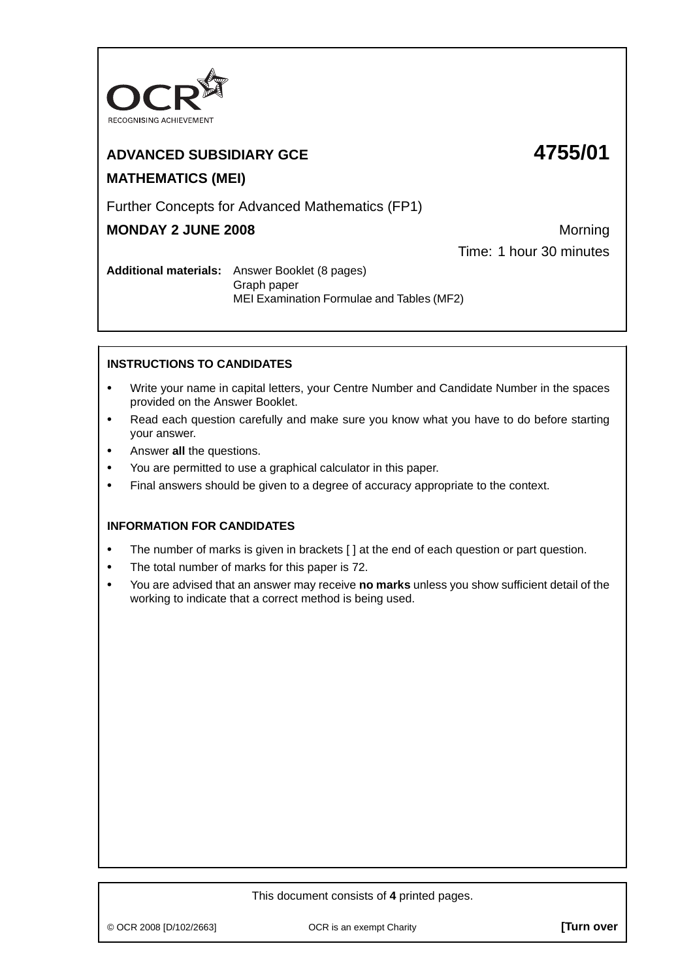

# **ADVANCED SUBSIDIARY GCE 4755/01 MATHEMATICS (MEI)**

# Further Concepts for Advanced Mathematics (FP1)

## **MONDAY 2 JUNE 2008** Morning

Time: 1 hour 30 minutes

**Additional materials:** Answer Booklet (8 pages) Graph paper MEI Examination Formulae and Tables (MF2)

## **INSTRUCTIONS TO CANDIDATES**

- **•** Write your name in capital letters, your Centre Number and Candidate Number in the spaces provided on the Answer Booklet.
- **•** Read each question carefully and make sure you know what you have to do before starting your answer.
- **•** Answer **all** the questions.
- **•** You are permitted to use a graphical calculator in this paper.
- **•** Final answers should be given to a degree of accuracy appropriate to the context.

## **INFORMATION FOR CANDIDATES**

- The number of marks is given in brackets [ ] at the end of each question or part question.
- **•** The total number of marks for this paper is 72.
- **•** You are advised that an answer may receive **no marks** unless you show sufficient detail of the working to indicate that a correct method is being used.

### This document consists of **4** printed pages.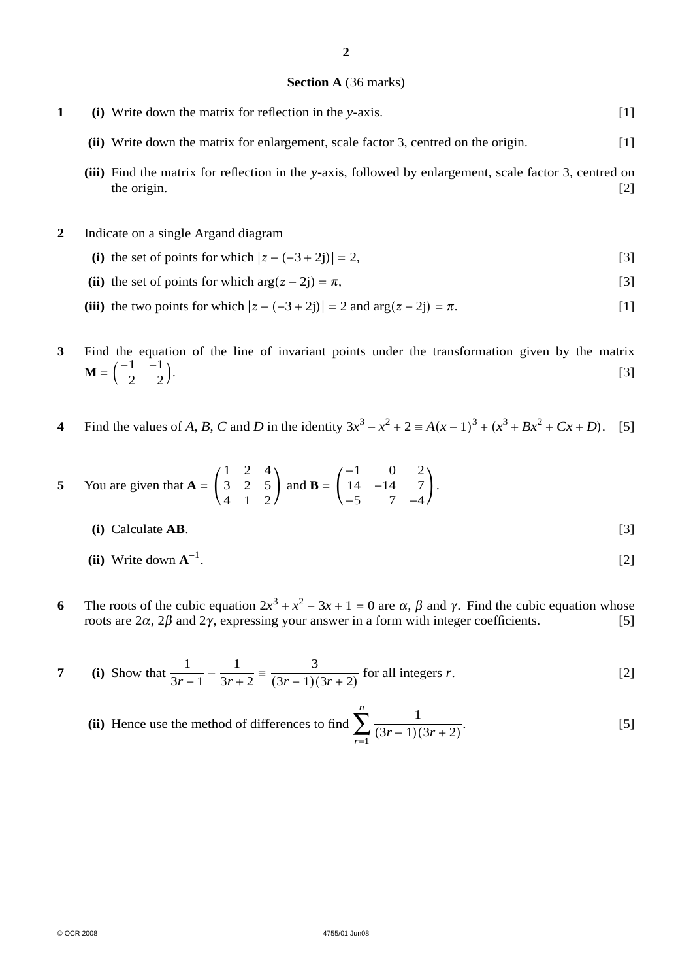#### **Section A** (36 marks)

- **1 (i)** Write down the matrix for reflection in the *y*-axis. [1]
	- **(ii)** Write down the matrix for enlargement, scale factor 3, centred on the origin. [1]
	- **(iii)** Find the matrix for reflection in the *y*-axis, followed by enlargement, scale factor 3, centred on the origin. [2]
- **2** Indicate on a single Argand diagram
	- (i) the set of points for which  $|z (-3 + 2i)| = 2$ , [3]
	- (ii) the set of points for which  $arg(z 2j) = \pi$ , [3]

(iii) the two points for which  $|z - (-3 + 2i)| = 2$  and  $\arg(z - 2i) = \pi$ . [1]

**3** Find the equation of the line of invariant points under the transformation given by the matrix  $\mathbf{M} = \begin{pmatrix} -1 & -1 \\ 2 & 2 \end{pmatrix}$ .  $[3]$ 

**4** Find the values of *A*, *B*, *C* and *D* in the identity  $3x^3 - x^2 + 2 \equiv A(x-1)^3 + (x^3 + Bx^2 + Cx + D)$ . [5]

5 You are given that 
$$
A = \begin{pmatrix} 1 & 2 & 4 \\ 3 & 2 & 5 \\ 4 & 1 & 2 \end{pmatrix}
$$
 and  $B = \begin{pmatrix} -1 & 0 & 2 \\ 14 & -14 & 7 \\ -5 & 7 & -4 \end{pmatrix}$ .  
(i) Calculate  $AB$ . [3]

- **(ii)** Write down  $A^{-1}$ . .  $[2]$
- **6** The roots of the cubic equation  $2x^3 + x^2 3x + 1 = 0$  are α, β and γ. Find the cubic equation whose roots are  $2α$ ,  $2β$  and  $2γ$ , expressing your answer in a form with integer coefficients. [5] roots are  $2α$ ,  $2β$  and  $2γ$ , expressing your answer in a form with integer coefficients.

7 (i) Show that 
$$
\frac{1}{3r-1} - \frac{1}{3r+2} = \frac{3}{(3r-1)(3r+2)}
$$
 for all integers r. [2]

(ii) Hence use the method of differences to find 
$$
\sum_{r=1}^{n} \frac{1}{(3r-1)(3r+2)}
$$
 [5]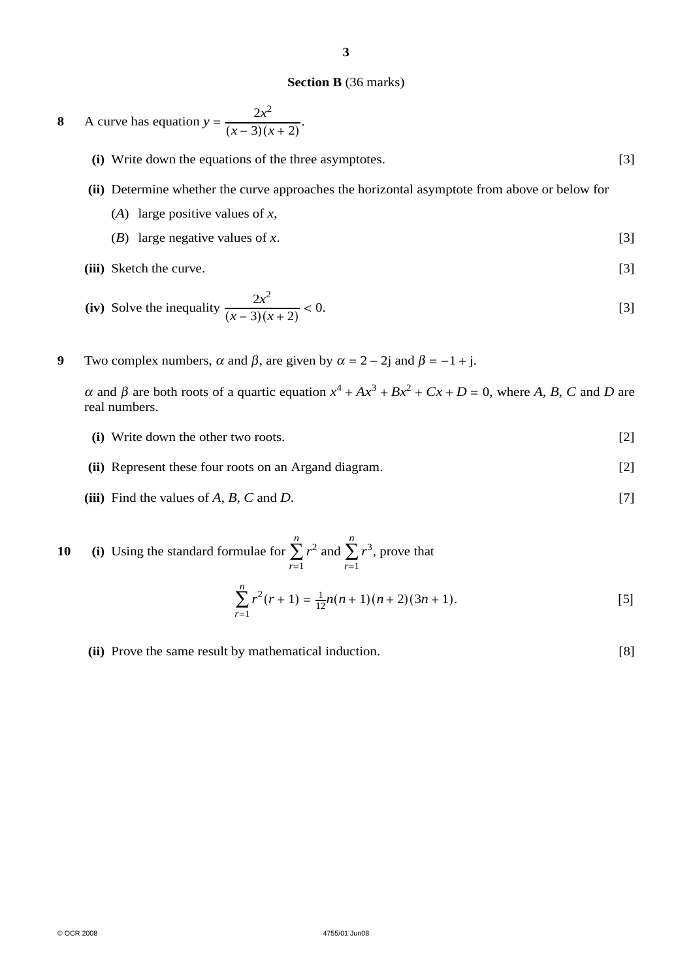#### **Section B** (36 marks)

8 A curve has equation 
$$
y = \frac{2x^2}{(x-3)(x+2)}
$$
.

- **(i)** Write down the equations of the three asymptotes. [3]
- **(ii)** Determine whether the curve approaches the horizontal asymptote from above or below for
	- (*A*) large positive values of *x*,
	- (*B*) large negative values of *x*. [3]
- **(iii)** Sketch the curve. [3]

(iv) Solve the inequality 
$$
\frac{2x^2}{(x-3)(x+2)} < 0.
$$
 [3]

**9** Two complex numbers,  $\alpha$  and  $\beta$ , are given by  $\alpha = 2 - 2j$  and  $\beta = -1 + j$ .

 $α$  and *β* are both roots of a quartic equation  $x^4 + Ax^3 + Bx^2 + Cx + D = 0$ , where *A*, *B*, *C* and *D* are real numbers.

- **(i)** Write down the other two roots. [2]
- **(ii)** Represent these four roots on an Argand diagram. [2]
- (iii) Find the values of  $A$ ,  $B$ ,  $C$  and  $D$ . [7]

**10 (i)** Using the standard formulae for *n* ∑ *r*=1  $r^2$  and *n* ∑ *r*=1  $r^3$ , prove that

$$
\sum_{r=1}^{n} r^{2}(r+1) = \frac{1}{12}n(n+1)(n+2)(3n+1).
$$
 [5]

**(ii)** Prove the same result by mathematical induction. [8]